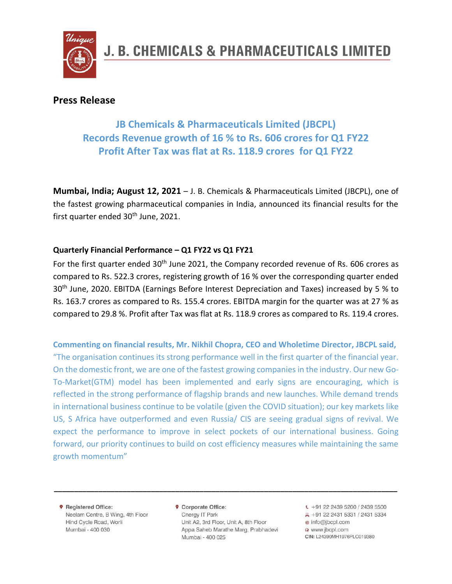

### **Press Release**

### **JB Chemicals & Pharmaceuticals Limited (JBCPL) Records Revenue growth of 16 % to Rs. 606 crores for Q1 FY22 Profit After Tax was flat at Rs. 118.9 crores for Q1 FY22**

**Mumbai, India; August 12, 2021** – J. B. Chemicals & Pharmaceuticals Limited (JBCPL), one of the fastest growing pharmaceutical companies in India, announced its financial results for the first quarter ended 30<sup>th</sup> June, 2021.

#### **Quarterly Financial Performance – Q1 FY22 vs Q1 FY21**

For the first quarter ended 30<sup>th</sup> June 2021, the Company recorded revenue of Rs. 606 crores as compared to Rs. 522.3 crores, registering growth of 16 % over the corresponding quarter ended 30<sup>th</sup> June, 2020. EBITDA (Earnings Before Interest Depreciation and Taxes) increased by 5 % to Rs. 163.7 crores as compared to Rs. 155.4 crores. EBITDA margin for the quarter was at 27 % as compared to 29.8 %. Profit after Tax was flat at Rs. 118.9 crores as compared to Rs. 119.4 crores.

**Commenting on financial results, Mr. Nikhil Chopra, CEO and Wholetime Director, JBCPL said,**  "The organisation continues its strong performance well in the first quarter of the financial year. On the domestic front, we are one of the fastest growing companies in the industry. Our new Go-To-Market(GTM) model has been implemented and early signs are encouraging, which is reflected in the strong performance of flagship brands and new launches. While demand trends in international business continue to be volatile (given the COVID situation); our key markets like US, S Africa have outperformed and even Russia/ CIS are seeing gradual signs of revival. We expect the performance to improve in select pockets of our international business. Going forward, our priority continues to build on cost efficiency measures while maintaining the same growth momentum"

**9** Registered Office: Neelam Centre, B Wing, 4th Floor Hind Cycle Road, Worli Mumbai - 400 030

**9** Corporate Office: Cnergy IT Park Unit A2, 3rd Floor, Unit A, 8th Floor Appa Saheb Marathe Marg, Prabhadevi Mumbai - 400 025

**\_\_\_\_\_\_\_\_\_\_\_\_\_\_\_\_\_\_\_\_\_\_\_\_\_\_\_\_\_\_\_\_\_\_\_\_\_\_\_\_\_\_\_\_\_\_\_\_\_\_\_\_\_\_\_\_\_\_\_\_\_\_\_\_\_\_\_\_\_\_\_\_\_\_\_\_\_\_\_\_\_\_\_\_\_**

 $\sqrt{+91}$  22 2439 5200 / 2439 5500 具 +91 22 2431 5331 / 2431 5334 @ info@jbcpl.com o www.ibcpl.com CIN: L24390MH1976PLC019380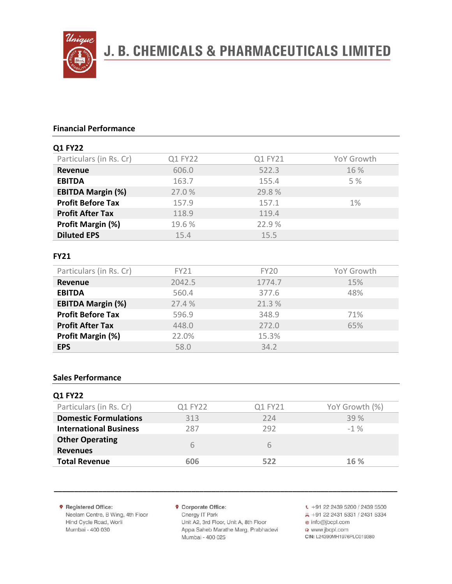

## **J. B. CHEMICALS & PHARMACEUTICALS LIMITED**

#### **Financial Performance**

| <b>Q1 FY22</b>           |         |         |            |
|--------------------------|---------|---------|------------|
| Particulars (in Rs. Cr)  | Q1 FY22 | Q1 FY21 | YoY Growth |
| <b>Revenue</b>           | 606.0   | 522.3   | 16 %       |
| <b>EBITDA</b>            | 163.7   | 155.4   | 5%         |
| <b>EBITDA Margin (%)</b> | 27.0%   | 29.8%   |            |
| <b>Profit Before Tax</b> | 157.9   | 157.1   | $1\%$      |
| <b>Profit After Tax</b>  | 118.9   | 119.4   |            |
| Profit Margin (%)        | 19.6%   | 22.9%   |            |
| <b>Diluted EPS</b>       | 15.4    | 15.5    |            |

#### **FY21**

| Particulars (in Rs. Cr)  | <b>FY21</b> | <b>FY20</b> | YoY Growth |
|--------------------------|-------------|-------------|------------|
| Revenue                  | 2042.5      | 1774.7      | 15%        |
| <b>EBITDA</b>            | 560.4       | 377.6       | 48%        |
| <b>EBITDA Margin (%)</b> | 27.4 %      | 21.3%       |            |
| <b>Profit Before Tax</b> | 596.9       | 348.9       | 71%        |
| <b>Profit After Tax</b>  | 448.0       | 272.0       | 65%        |
| Profit Margin (%)        | 22.0%       | 15.3%       |            |
| <b>EPS</b>               | 58.0        | 34.2        |            |

#### **Sales Performance**

| Q1 FY22 | Q1 FY21 | YoY Growth (%) |
|---------|---------|----------------|
| 313     | 224     | 39%            |
| 287     | 292     | $-1\%$         |
| 6       | 6       |                |
| 606     | 522     | 16 %           |
|         |         |                |

**9** Registered Office: Neelam Centre, B Wing, 4th Floor Hind Cycle Road, Worli Mumbai - 400 030

**9** Corporate Office:

Cnergy IT Park Unit A2, 3rd Floor, Unit A, 8th Floor Appa Saheb Marathe Marg, Prabhadevi Mumbai - 400 025

**\_\_\_\_\_\_\_\_\_\_\_\_\_\_\_\_\_\_\_\_\_\_\_\_\_\_\_\_\_\_\_\_\_\_\_\_\_\_\_\_\_\_\_\_\_\_\_\_\_\_\_\_\_\_\_\_\_\_\_\_\_\_\_\_\_\_\_\_\_\_\_\_\_\_\_\_\_\_\_\_\_\_\_\_\_**

 $\sqrt{+91}$  22 2439 5200 / 2439 5500

具 +91 22 2431 5331 / 2431 5334

@ info@jbcpl.com

o www.jbcpl.com

CIN: L24390MH1976PLC019380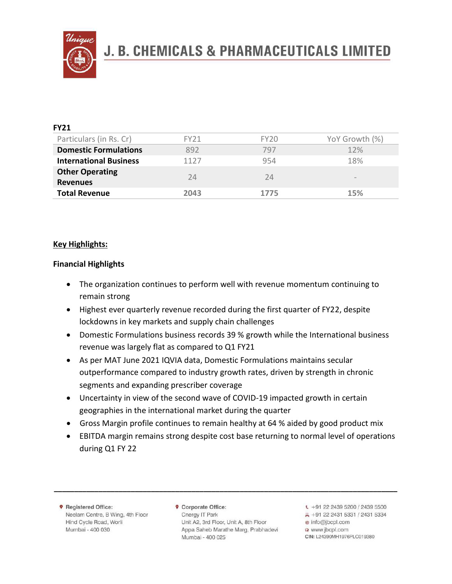

# **J. B. CHEMICALS & PHARMACEUTICALS LIMITED**

| <b>FY21</b>                               |      |      |                   |
|-------------------------------------------|------|------|-------------------|
| Particulars (in Rs. Cr)                   | FY21 | FY20 | YoY Growth (%)    |
| <b>Domestic Formulations</b>              | 892  | 797  | 12%               |
| <b>International Business</b>             | 1127 | 954  | 18%               |
| <b>Other Operating</b><br><b>Revenues</b> | 74   | 74   | $\qquad \qquad -$ |
| <b>Total Revenue</b>                      | 2043 | 1775 | 15%               |

#### **Key Highlights:**

#### **Financial Highlights**

- The organization continues to perform well with revenue momentum continuing to remain strong
- Highest ever quarterly revenue recorded during the first quarter of FY22, despite lockdowns in key markets and supply chain challenges
- Domestic Formulations business records 39 % growth while the International business revenue was largely flat as compared to Q1 FY21
- As per MAT June 2021 IQVIA data, Domestic Formulations maintains secular outperformance compared to industry growth rates, driven by strength in chronic segments and expanding prescriber coverage
- Uncertainty in view of the second wave of COVID-19 impacted growth in certain geographies in the international market during the quarter
- Gross Margin profile continues to remain healthy at 64 % aided by good product mix
- EBITDA margin remains strong despite cost base returning to normal level of operations during Q1 FY 22

**9** Registered Office: Neelam Centre, B Wing, 4th Floor Hind Cycle Road, Worli Mumbai - 400 030

**9** Corporate Office: Cnergy IT Park Unit A2, 3rd Floor, Unit A, 8th Floor Appa Saheb Marathe Marg, Prabhadevi Mumbai - 400 025

**\_\_\_\_\_\_\_\_\_\_\_\_\_\_\_\_\_\_\_\_\_\_\_\_\_\_\_\_\_\_\_\_\_\_\_\_\_\_\_\_\_\_\_\_\_\_\_\_\_\_\_\_\_\_\_\_\_\_\_\_\_\_\_\_\_\_\_\_\_\_\_\_\_\_\_\_\_\_\_\_\_\_\_\_\_**

 $\sqrt{+91}$  22 2439 5200 / 2439 5500 具 +91 22 2431 5331 / 2431 5334 @ info@jbcpl.com o www.jbcpl.com CIN: L24390MH1976PLC019380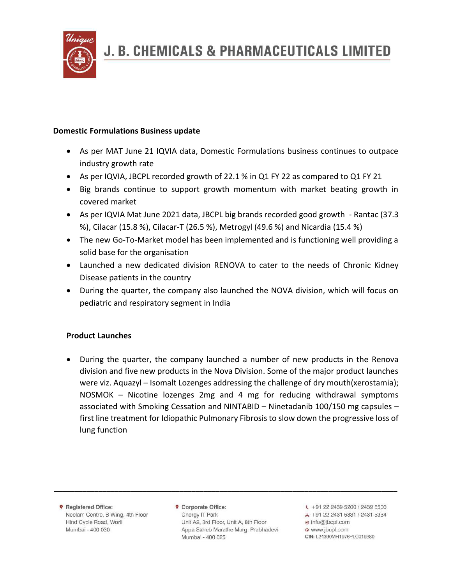

#### **Domestic Formulations Business update**

- As per MAT June 21 IQVIA data, Domestic Formulations business continues to outpace industry growth rate
- As per IQVIA, JBCPL recorded growth of 22.1 % in Q1 FY 22 as compared to Q1 FY 21
- Big brands continue to support growth momentum with market beating growth in covered market
- As per IQVIA Mat June 2021 data, JBCPL big brands recorded good growth Rantac (37.3 %), Cilacar (15.8 %), Cilacar-T (26.5 %), Metrogyl (49.6 %) and Nicardia (15.4 %)
- The new Go-To-Market model has been implemented and is functioning well providing a solid base for the organisation
- Launched a new dedicated division RENOVA to cater to the needs of Chronic Kidney Disease patients in the country
- During the quarter, the company also launched the NOVA division, which will focus on pediatric and respiratory segment in India

#### **Product Launches**

• During the quarter, the company launched a number of new products in the Renova division and five new products in the Nova Division. Some of the major product launches were viz. Aquazyl – Isomalt Lozenges addressing the challenge of dry mouth(xerostamia); NOSMOK – Nicotine lozenges 2mg and 4 mg for reducing withdrawal symptoms associated with Smoking Cessation and NINTABID – Ninetadanib 100/150 mg capsules – first line treatment for Idiopathic Pulmonary Fibrosis to slow down the progressive loss of lung function

**9** Registered Office: Neelam Centre, B Wing, 4th Floor Hind Cycle Road, Worli Mumbai - 400 030

**9** Corporate Office: Cnergy IT Park Unit A2, 3rd Floor, Unit A, 8th Floor Appa Saheb Marathe Marg, Prabhadevi Mumbai - 400 025

**\_\_\_\_\_\_\_\_\_\_\_\_\_\_\_\_\_\_\_\_\_\_\_\_\_\_\_\_\_\_\_\_\_\_\_\_\_\_\_\_\_\_\_\_\_\_\_\_\_\_\_\_\_\_\_\_\_\_\_\_\_\_\_\_\_\_\_\_\_\_\_\_\_\_\_\_\_\_\_\_\_\_\_\_\_**

 $\sqrt{2}$  +91 22 2439 5200 / 2439 5500 具 +91 22 2431 5331 / 2431 5334 @ info@jbcpl.com @ www.jbcpl.com CIN: L24390MH1976PLC019380